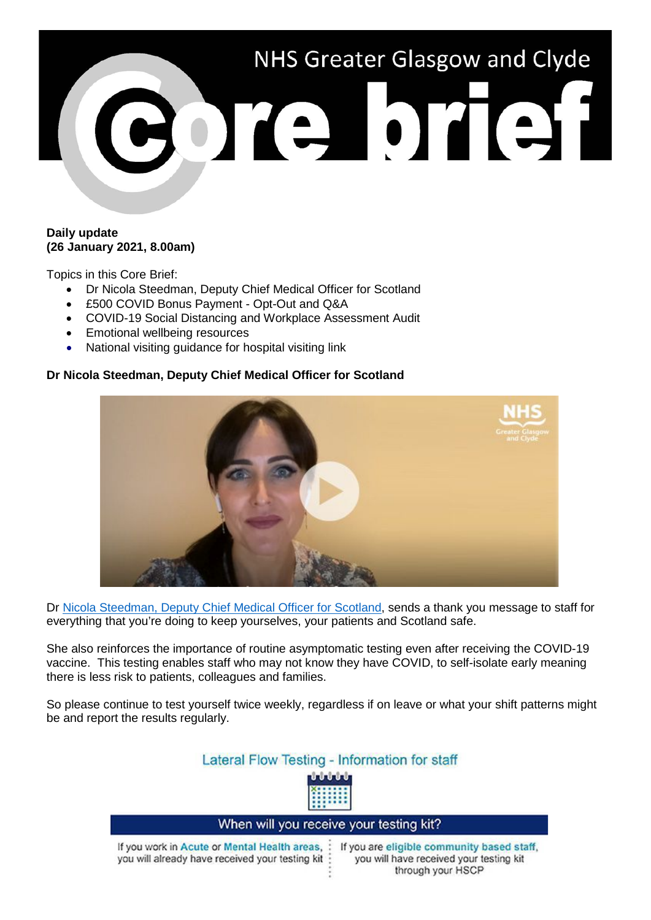

## **Daily update (26 January 2021, 8.00am)**

Topics in this Core Brief:

- Dr Nicola Steedman, Deputy Chief Medical Officer for Scotland
- £500 COVID Bonus Payment Opt-Out and Q&A
- COVID-19 Social Distancing and Workplace Assessment Audit
- Emotional wellbeing resources
- National visiting guidance for hospital visiting link

### **Dr Nicola Steedman, Deputy Chief Medical Officer for Scotland**



Dr [Nicola Steedman, Deputy Chief Medical Officer for Scotland,](https://www.youtube.com/watch?v=VwHCfbsmqnA) sends a thank you message to staff for everything that you're doing to keep yourselves, your patients and Scotland safe.

She also reinforces the importance of routine asymptomatic testing even after receiving the COVID-19 vaccine. This testing enables staff who may not know they have COVID, to self-isolate early meaning there is less risk to patients, colleagues and families.

So please continue to test yourself twice weekly, regardless if on leave or what your shift patterns might be and report the results regularly.

# Lateral Flow Testing - Information for staff



#### When will you receive your testing kit? If you work in Acute or Mental Health areas. : If you are eligible community based staff. you will already have received your testing kit : you will have received your testing kit through your HSCP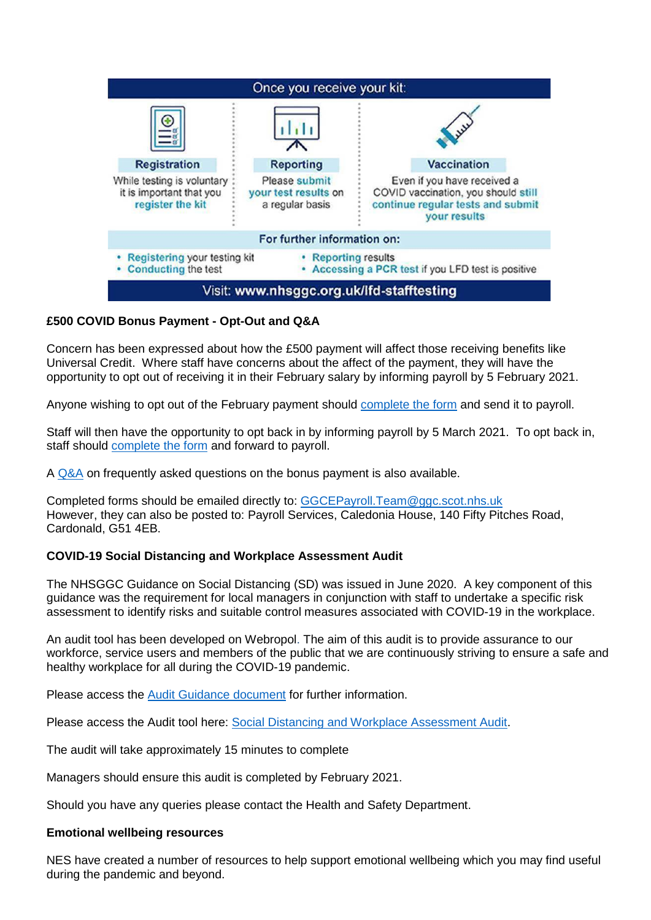

## **£500 COVID Bonus Payment - Opt-Out and Q&A**

Concern has been expressed about how the £500 payment will affect those receiving benefits like Universal Credit. Where staff have concerns about the affect of the payment, they will have the opportunity to opt out of receiving it in their February salary by informing payroll by 5 February 2021.

Anyone wishing to opt out of the February payment should [complete the form](https://www.nhsggc.org.uk/media/264750/nhsggc_covid_payment_opt_out_form.docx) and send it to payroll.

Staff will then have the opportunity to opt back in by informing payroll by 5 March 2021. To opt back in, staff should [complete the form](https://www.nhsggc.org.uk/media/264751/nhsggc_covid_payment_opt_in_form.docx) and forward to payroll.

A [Q&A](https://www.nhsggc.org.uk/media/264749/covid19_staff_covid_500gbp_payment_opt_out_and_qa.pdf) on frequently asked questions on the bonus payment is also available.

Completed forms should be emailed directly to: [GGCEPayroll.Team@ggc.scot.nhs.uk](mailto:GGCEPayroll.Team@ggc.scot.nhs.uk) However, they can also be posted to: Payroll Services, Caledonia House, 140 Fifty Pitches Road, Cardonald, G51 4EB.

## **COVID-19 Social Distancing and Workplace Assessment Audit**

The NHSGGC Guidance on Social Distancing (SD) was issued in June 2020. A key component of this guidance was the requirement for local managers in conjunction with staff to undertake a specific risk assessment to identify risks and suitable control measures associated with COVID-19 in the workplace.

An audit tool has been developed on Webropol. The aim of this audit is to provide assurance to our workforce, service users and members of the public that we are continuously striving to ensure a safe and healthy workplace for all during the COVID-19 pandemic.

Please access the [Audit Guidance document](https://www.nhsggc.org.uk/media/264335/covid19_staff_socdist_risk_assess_audit_guidance.doc) for further information.

Please access the Audit tool here: [Social Distancing and Workplace Assessment Audit.](https://link.webropolsurveys.com/Participation/Public/56b08d59-6272-4100-b5ab-23fd2512580e?displayId=Uni2071081)

The audit will take approximately 15 minutes to complete

Managers should ensure this audit is completed by February 2021.

Should you have any queries please contact the Health and Safety Department.

#### **Emotional wellbeing resources**

NES have created a number of resources to help support emotional wellbeing which you may find useful during the pandemic and beyond.